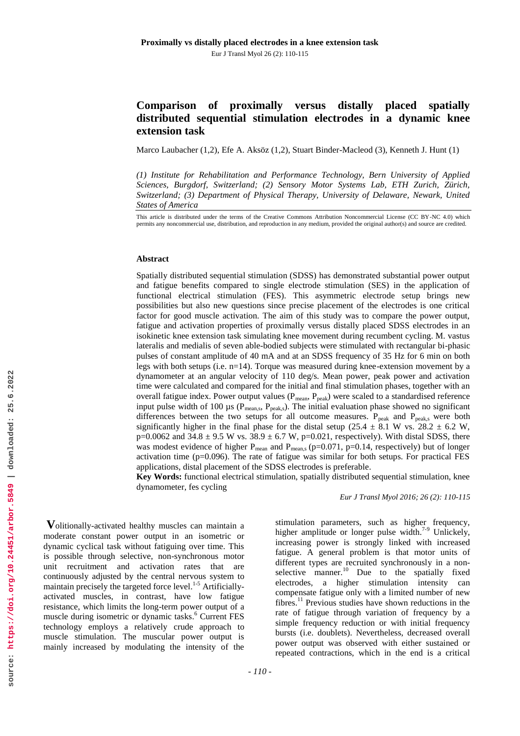# **Comparison of proximally versus distally placed spatially distributed sequential stimulation electrodes in a dynamic knee extension task**

Marco Laubacher (1,2), Efe A. Aksöz (1,2), Stuart Binder-Macleod (3), Kenneth J. Hunt (1)

*(1) Institute for Rehabilitation and Performance Technology, Bern University of Applied Sciences, Burgdorf, Switzerland; (2) Sensory Motor Systems Lab, ETH Zurich, Zürich, Switzerland; (3) Department of Physical Therapy, University of Delaware, Newark, United States of America*

This article is distributed under the terms of the Creative Commons Attribution Noncommercial License (CC BY-NC 4.0) which permits any noncommercial use, distribution, and reproduction in any medium, provided the original author(s) and source are credited.

#### **Abstract**

Spatially distributed sequential stimulation (SDSS) has demonstrated substantial power output and fatigue benefits compared to single electrode stimulation (SES) in the application of functional electrical stimulation (FES). This asymmetric electrode setup brings new possibilities but also new questions since precise placement of the electrodes is one critical factor for good muscle activation. The aim of this study was to compare the power output, fatigue and activation properties of proximally versus distally placed SDSS electrodes in an isokinetic knee extension task simulating knee movement during recumbent cycling. M. vastus lateralis and medialis of seven able-bodied subjects were stimulated with rectangular bi-phasic pulses of constant amplitude of 40 mA and at an SDSS frequency of 35 Hz for 6 min on both legs with both setups (i.e. n=14). Torque was measured during knee-extension movement by a dynamometer at an angular velocity of 110 deg/s. Mean power, peak power and activation time were calculated and compared for the initial and final stimulation phases, together with an overall fatigue index. Power output values  $(P_{mean}, P_{peak})$  were scaled to a standardised reference input pulse width of 100  $\mu$ s (P<sub>mean,s</sub>, P<sub>peak,s</sub>). The initial evaluation phase showed no significant differences between the two setups for all outcome measures.  $P_{peak}$  and  $P_{peak,s}$  were both significantly higher in the final phase for the distal setup (25.4  $\pm$  8.1 W vs. 28.2  $\pm$  6.2 W,  $p=0.0062$  and 34.8  $\pm$  9.5 W vs. 38.9  $\pm$  6.7 W, p=0.021, respectively). With distal SDSS, there was modest evidence of higher  $P_{mean}$  and  $P_{mean,s}$  (p=0.071, p=0.14, respectively) but of longer activation time  $(p=0.096)$ . The rate of fatigue was similar for both setups. For practical FES applications, distal placement of the SDSS electrodes is preferable.

**Key Words:** functional electrical stimulation, spatially distributed sequential stimulation, knee dynamometer, fes cycling

## *Eur J Transl Myol 2016; 26 (2): 110-115*

**V**olitionally-activated healthy muscles can maintain a moderate constant power output in an isometric or dynamic cyclical task without fatiguing over time. This is possible through selective, non-synchronous motor unit recruitment and activation rates that are continuously adjusted by the central nervous system to maintain precisely the targeted force level.<sup>1-5</sup> Artificiallyactivated muscles, in contrast, have low fatigue resistance, which limits the long-term power output of a muscle during isometric or dynamic tasks. <sup>6</sup> Current FES technology employs a relatively crude approach to muscle stimulation. The muscular power output is mainly increased by modulating the intensity of the

stimulation parameters, such as higher frequency, higher amplitude or longer pulse width.<sup>7-9</sup> Unlickely, increasing power is strongly linked with increased fatigue. A general problem is that motor units of different types are recruited synchronously in a nonselective manner.<sup>10</sup> Due to the spatially fixed electrodes, a higher stimulation intensity can compensate fatigue only with a limited number of new fibres.<sup>11</sup> Previous studies have shown reductions in the rate of fatigue through variation of frequency by a simple frequency reduction or with initial frequency bursts (i.e. doublets). Nevertheless, decreased overall power output was observed with either sustained or repeated contractions, which in the end is a critical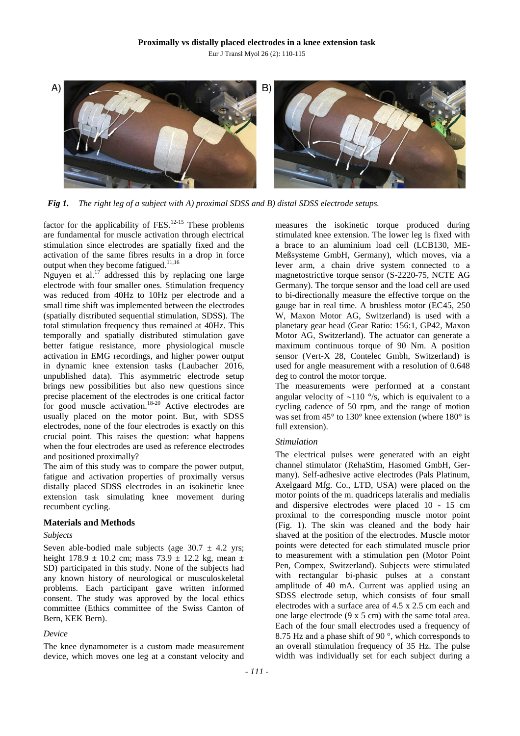

*Fig 1. The right leg of a subject with A) proximal SDSS and B) distal SDSS electrode setups.*

factor for the applicability of  $FES$ <sup>12-15</sup> These problems are fundamental for muscle activation through electrical stimulation since electrodes are spatially fixed and the activation of the same fibres results in a drop in force output when they become fatigued.<sup>11,16</sup>

Nguyen et al. $17$  addressed this by replacing one large electrode with four smaller ones. Stimulation frequency was reduced from 40Hz to 10Hz per electrode and a small time shift was implemented between the electrodes (spatially distributed sequential stimulation, SDSS). The total stimulation frequency thus remained at 40Hz. This temporally and spatially distributed stimulation gave better fatigue resistance, more physiological muscle activation in EMG recordings, and higher power output in dynamic knee extension tasks (Laubacher 2016, unpublished data). This asymmetric electrode setup brings new possibilities but also new questions since precise placement of the electrodes is one critical factor for good muscle activation.<sup>18-20</sup> Active electrodes are usually placed on the motor point. But, with SDSS electrodes, none of the four electrodes is exactly on this crucial point. This raises the question: what happens when the four electrodes are used as reference electrodes and positioned proximally?

The aim of this study was to compare the power output, fatigue and activation properties of proximally versus distally placed SDSS electrodes in an isokinetic knee extension task simulating knee movement during recumbent cycling.

## **Materials and Methods**

### *Subjects*

Seven able-bodied male subjects (age  $30.7 \pm 4.2$  yrs; height  $178.9 \pm 10.2$  cm; mass  $73.9 \pm 12.2$  kg, mean  $\pm$ SD) participated in this study. None of the subjects had any known history of neurological or musculoskeletal problems. Each participant gave written informed consent. The study was approved by the local ethics committee (Ethics committee of the Swiss Canton of Bern, KEK Bern).

### *Device*

The knee dynamometer is a custom made measurement device, which moves one leg at a constant velocity and

measures the isokinetic torque produced during stimulated knee extension. The lower leg is fixed with a brace to an aluminium load cell (LCB130, ME-Meßsysteme GmbH, Germany), which moves, via a lever arm, a chain drive system connected to a magnetostrictive torque sensor (S-2220-75, NCTE AG Germany). The torque sensor and the load cell are used to bi-directionally measure the effective torque on the gauge bar in real time. A brushless motor (EC45, 250 W, Maxon Motor AG, Switzerland) is used with a planetary gear head (Gear Ratio: 156:1, GP42, Maxon Motor AG, Switzerland). The actuator can generate a maximum continuous torque of 90 Nm. A position sensor (Vert-X 28, Contelec Gmbh, Switzerland) is used for angle measurement with a resolution of 0.648 deg to control the motor torque.

The measurements were performed at a constant angular velocity of  $\sim$ 110 °/s, which is equivalent to a cycling cadence of 50 rpm, and the range of motion was set from 45° to 130° knee extension (where 180° is full extension).

### *Stimulation*

The electrical pulses were generated with an eight channel stimulator (RehaStim, Hasomed GmbH, Germany). Self-adhesive active electrodes (Pals Platinum, Axelgaard Mfg. Co., LTD, USA) were placed on the motor points of the m. quadriceps lateralis and medialis and dispersive electrodes were placed 10 - 15 cm proximal to the corresponding muscle motor point (Fig. 1). The skin was cleaned and the body hair shaved at the position of the electrodes. Muscle motor points were detected for each stimulated muscle prior to measurement with a stimulation pen (Motor Point Pen, Compex, Switzerland). Subjects were stimulated with rectangular bi-phasic pulses at a constant amplitude of 40 mA. Current was applied using an SDSS electrode setup, which consists of four small electrodes with a surface area of 4.5 x 2.5 cm each and one large electrode (9 x 5 cm) with the same total area. Each of the four small electrodes used a frequency of 8.75 Hz and a phase shift of 90 $^{\circ}$ , which corresponds to an overall stimulation frequency of 35 Hz. The pulse width was individually set for each subject during a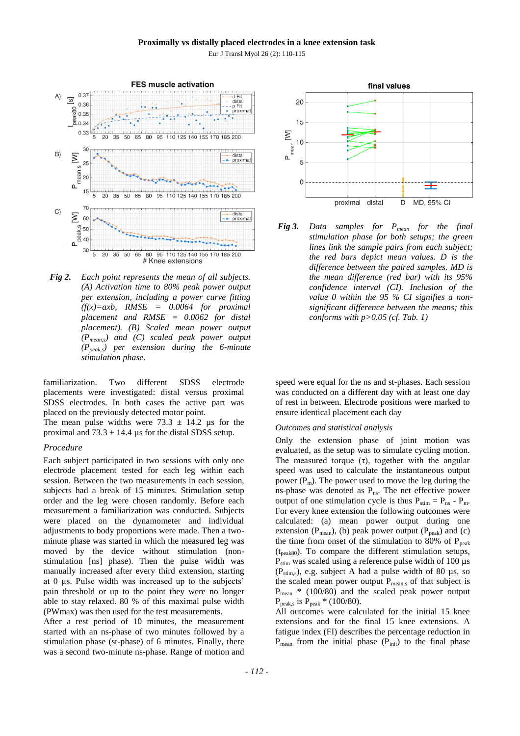

*Fig 2. Each point represents the mean of all subjects. (A) Activation time to 80% peak power output per extension, including a power curve fitting (f(x)=axb, RMSE = 0.0064 for proximal placement and RMSE = 0.0062 for distal placement). (B) Scaled mean power output (Pmean,s) and (C) scaled peak power output (Ppeak,s) per extension during the 6-minute stimulation phase.*

familiarization. Two different SDSS electrode placements were investigated: distal versus proximal SDSS electrodes. In both cases the active part was placed on the previously detected motor point.

The mean pulse widths were  $73.3 \pm 14.2$  µs for the proximal and  $73.3 \pm 14.4$  µs for the distal SDSS setup.

### *Procedure*

Each subject participated in two sessions with only one electrode placement tested for each leg within each session. Between the two measurements in each session, subjects had a break of 15 minutes. Stimulation setup order and the leg were chosen randomly. Before each measurement a familiarization was conducted. Subjects were placed on the dynamometer and individual adjustments to body proportions were made. Then a twominute phase was started in which the measured leg was moved by the device without stimulation (nonstimulation [ns] phase). Then the pulse width was manually increased after every third extension, starting at 0 µs. Pulse width was increased up to the subjects' pain threshold or up to the point they were no longer able to stay relaxed. 80 % of this maximal pulse width (PWmax) was then used for the test measurements.

After a rest period of 10 minutes, the measurement started with an ns-phase of two minutes followed by a stimulation phase (st-phase) of 6 minutes. Finally, there was a second two-minute ns-phase. Range of motion and



*Fig 3. Data samples for Pmean for the final stimulation phase for both setups; the green lines link the sample pairs from each subject; the red bars depict mean values. D is the difference between the paired samples. MD is the mean difference (red bar) with its 95% confidence interval (CI). Inclusion of the value 0 within the 95 % CI signifies a nonsignificant difference between the means; this conforms with p>0.05 (cf. Tab. 1)*

speed were equal for the ns and st-phases. Each session was conducted on a different day with at least one day of rest in between. Electrode positions were marked to ensure identical placement each day

#### *Outcomes and statistical analysis*

Only the extension phase of joint motion was evaluated, as the setup was to simulate cycling motion. The measured torque  $(\tau)$ , together with the angular speed was used to calculate the instantaneous output power  $(P_m)$ . The power used to move the leg during the ns-phase was denoted as  $P_{ns}$ . The net effective power output of one stimulation cycle is thus  $P_{\text{stim}} = P_{\text{ns}} - P_{\text{m}}$ . For every knee extension the following outcomes were calculated: (a) mean power output during one extension ( $P_{mean}$ ), (b) peak power output ( $P_{peak}$ ) and (c) the time from onset of the stimulation to 80% of  $P_{peak}$  $(t_{\text{peak80}})$ . To compare the different stimulation setups,  $P_{\text{stim}}$  was scaled using a reference pulse width of 100  $\mu$ s  $(P_{\text{stim,s}})$ , e.g. subject A had a pulse width of 80 µs, so the scaled mean power output  $P_{mean,s}$  of that subject is  $P_{mean}$  \* (100/80) and the scaled peak power output  $P_{peak,s}$  is  $P_{peak}$  \* (100/80).

All outcomes were calculated for the initial 15 knee extensions and for the final 15 knee extensions. A fatigue index (FI) describes the percentage reduction in  $P_{\text{mean}}$  from the initial phase ( $P_{\text{init}}$ ) to the final phase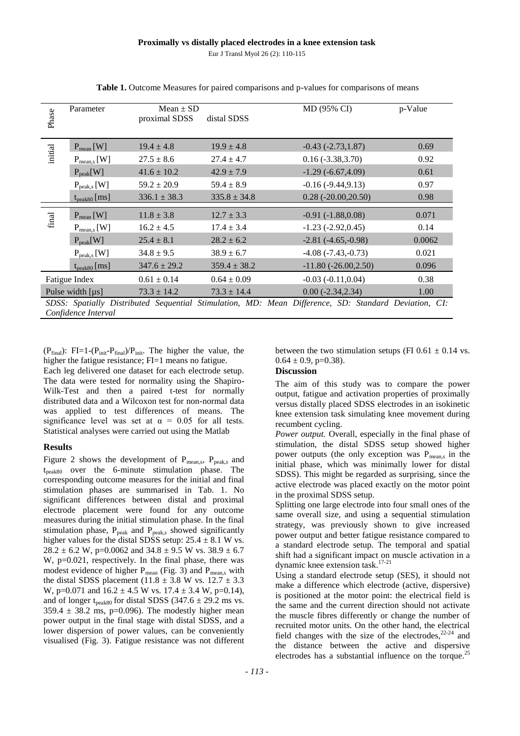| Phase                                                                                                | Parameter               | Mean $\pm$ SD    |                  | MD (95% CI)             | p-Value |
|------------------------------------------------------------------------------------------------------|-------------------------|------------------|------------------|-------------------------|---------|
|                                                                                                      |                         | proximal SDSS    | distal SDSS      |                         |         |
|                                                                                                      |                         |                  |                  |                         |         |
|                                                                                                      |                         |                  |                  |                         |         |
| initial                                                                                              | $P_{mean}$ [W]          | $19.4 \pm 4.8$   | $19.9 \pm 4.8$   | $-0.43(-2.73, 1.87)$    | 0.69    |
|                                                                                                      | $P_{mean,s}$ [W]        | $27.5 \pm 8.6$   | $27.4 \pm 4.7$   | $0.16(-3.38, 3.70)$     | 0.92    |
|                                                                                                      | $P_{peak}[W]$           | $41.6 \pm 10.2$  | $42.9 \pm 7.9$   | $-1.29(-6.67, 4.09)$    | 0.61    |
|                                                                                                      | $P_{\text{peak,s}}$ [W] | $59.2 \pm 20.9$  | $59.4 \pm 8.9$   | $-0.16(-9.44, 9.13)$    | 0.97    |
|                                                                                                      | $t_{\rm peak80}$ [ms]   | $336.1 \pm 38.3$ | $335.8 \pm 34.8$ | $0.28 (-20.00, 20.50)$  | 0.98    |
|                                                                                                      |                         |                  |                  |                         |         |
| final                                                                                                | $P_{mean}$ [W]          | $11.8 \pm 3.8$   | $12.7 \pm 3.3$   | $-0.91(-1.88, 0.08)$    | 0.071   |
|                                                                                                      | $P_{mean,s}$ [W]        | $16.2 \pm 4.5$   | $17.4 \pm 3.4$   | $-1.23$ $(-2.92, 0.45)$ | 0.14    |
|                                                                                                      | $P_{peak}[W]$           | $25.4 \pm 8.1$   | $28.2 \pm 6.2$   | $-2.81(-4.65,-0.98)$    | 0.0062  |
|                                                                                                      | $P_{\text{peak,s}}$ [W] | $34.8 \pm 9.5$   | $38.9 \pm 6.7$   | $-4.08(-7.43,-0.73)$    | 0.021   |
|                                                                                                      | $t_{\rm peak80}$ [ms]   | $347.6 \pm 29.2$ | $359.4 \pm 38.2$ | $-11.80(-26.00, 2.50)$  | 0.096   |
| Fatigue Index                                                                                        |                         | $0.61 \pm 0.14$  | $0.64 \pm 0.09$  | $-0.03(-0.11, 0.04)$    | 0.38    |
| Pulse width $[µs]$                                                                                   |                         | $73.3 \pm 14.2$  | $73.3 \pm 14.4$  | $0.00(-2.34, 2.34)$     | 1.00    |
| SDSS: Spatially Distributed Sequential Stimulation, MD: Mean Difference, SD: Standard Deviation, CI: |                         |                  |                  |                         |         |
| Confidence Interval                                                                                  |                         |                  |                  |                         |         |

**Table 1.** Outcome Measures for paired comparisons and p-values for comparisons of means

( $P_{final}$ ): FI=1-( $P_{init}$ - $P_{final}$ )/ $P_{init}$ . The higher the value, the higher the fatigue resistance; FI=1 means no fatigue.

Each leg delivered one dataset for each electrode setup. The data were tested for normality using the Shapiro-Wilk-Test and then a paired t-test for normally distributed data and a Wilcoxon test for non-normal data was applied to test differences of means. The significance level was set at  $\alpha = 0.05$  for all tests. Statistical analyses were carried out using the Matlab

## **Results**

Figure 2 shows the development of  $P_{mean,s}$ ,  $P_{peak,s}$  and  $t_{\text{neak80}}$  over the 6-minute stimulation phase. The corresponding outcome measures for the initial and final stimulation phases are summarised in Tab. 1. No significant differences between distal and proximal electrode placement were found for any outcome measures during the initial stimulation phase. In the final stimulation phase,  $P_{peak}$  and  $P_{peak,s}$  showed significantly higher values for the distal SDSS setup:  $25.4 \pm 8.1$  W vs.  $28.2 \pm 6.2$  W, p=0.0062 and  $34.8 \pm 9.5$  W vs.  $38.9 \pm 6.7$ W, p=0.021, respectively. In the final phase, there was modest evidence of higher  $P_{mean}$  (Fig. 3) and  $P_{mean,s}$  with the distal SDSS placement (11.8  $\pm$  3.8 W vs. 12.7  $\pm$  3.3 W, p=0.071 and  $16.2 \pm 4.5$  W vs.  $17.4 \pm 3.4$  W, p=0.14), and of longer  $t_{peak80}$  for distal SDSS (347.6  $\pm$  29.2 ms vs.  $359.4 \pm 38.2$  ms, p=0.096). The modestly higher mean power output in the final stage with distal SDSS, and a lower dispersion of power values, can be conveniently visualised (Fig. 3). Fatigue resistance was not different

between the two stimulation setups (FI 0.61  $\pm$  0.14 vs.  $0.64 \pm 0.9$ , p=0.38).

### **Discussion**

The aim of this study was to compare the power output, fatigue and activation properties of proximally versus distally placed SDSS electrodes in an isokinetic knee extension task simulating knee movement during recumbent cycling.

*Power output.* Overall, especially in the final phase of stimulation, the distal SDSS setup showed higher power outputs (the only exception was  $P_{mean,s}$  in the initial phase, which was minimally lower for distal SDSS). This might be regarded as surprising, since the active electrode was placed exactly on the motor point in the proximal SDSS setup.

Splitting one large electrode into four small ones of the same overall size, and using a sequential stimulation strategy, was previously shown to give increased power output and better fatigue resistance compared to a standard electrode setup. The temporal and spatial shift had a significant impact on muscle activation in a dynamic knee extension task. 17-21

Using a standard electrode setup (SES), it should not make a difference which electrode (active, dispersive) is positioned at the motor point: the electrical field is the same and the current direction should not activate the muscle fibres differently or change the number of recruited motor units. On the other hand, the electrical field changes with the size of the electrodes,  $22-24$  and the distance between the active and dispersive electrodes has a substantial influence on the torque.<sup>25</sup>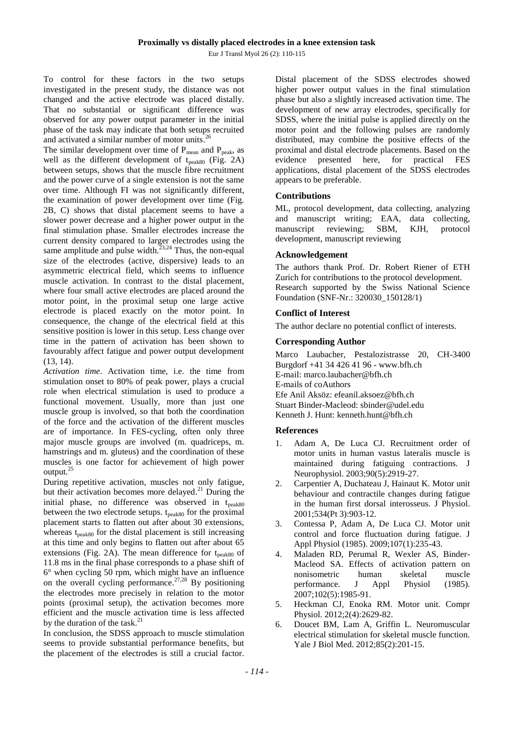To control for these factors in the two setups investigated in the present study, the distance was not changed and the active electrode was placed distally. That no substantial or significant difference was observed for any power output parameter in the initial phase of the task may indicate that both setups recruited and activated a similar number of motor units.<sup>26</sup>

The similar development over time of  $P_{mean}$  and  $P_{peak}$ , as well as the different development of  $t_{peak80}$  (Fig. 2A) between setups, shows that the muscle fibre recruitment and the power curve of a single extension is not the same over time. Although FI was not significantly different, the examination of power development over time (Fig. 2B, C) shows that distal placement seems to have a slower power decrease and a higher power output in the final stimulation phase. Smaller electrodes increase the current density compared to larger electrodes using the same amplitude and pulse width. $23,24$  Thus, the non-equal size of the electrodes (active, dispersive) leads to an asymmetric electrical field, which seems to influence muscle activation. In contrast to the distal placement, where four small active electrodes are placed around the motor point, in the proximal setup one large active electrode is placed exactly on the motor point. In consequence, the change of the electrical field at this sensitive position is lower in this setup. Less change over time in the pattern of activation has been shown to favourably affect fatigue and power output development (13, 14).

*Activation time*. Activation time, i.e. the time from stimulation onset to 80% of peak power, plays a crucial role when electrical stimulation is used to produce a functional movement. Usually, more than just one muscle group is involved, so that both the coordination of the force and the activation of the different muscles are of importance. In FES-cycling, often only three major muscle groups are involved (m. quadriceps, m. hamstrings and m. gluteus) and the coordination of these muscles is one factor for achievement of high power output. $^{25}$ 

During repetitive activation, muscles not only fatigue, but their activation becomes more delayed.<sup>21</sup> During the initial phase, no difference was observed in  $t_{\text{peak80}}$ between the two electrode setups.  $t_{\text{peak80}}$  for the proximal placement starts to flatten out after about 30 extensions, whereas t<sub>peak80</sub> for the distal placement is still increasing at this time and only begins to flatten out after about 65 extensions (Fig. 2A). The mean difference for  $t_{peak80}$  of 11.8 ms in the final phase corresponds to a phase shift of 6° when cycling 50 rpm, which might have an influence on the overall cycling performance.<sup>27,28</sup> By positioning the electrodes more precisely in relation to the motor points (proximal setup), the activation becomes more efficient and the muscle activation time is less affected by the duration of the task.<sup>21</sup>

In conclusion, the SDSS approach to muscle stimulation seems to provide substantial performance benefits, but the placement of the electrodes is still a crucial factor.

Distal placement of the SDSS electrodes showed higher power output values in the final stimulation phase but also a slightly increased activation time. The development of new array electrodes, specifically for SDSS, where the initial pulse is applied directly on the motor point and the following pulses are randomly distributed, may combine the positive effects of the proximal and distal electrode placements. Based on the evidence presented here, for practical FES applications, distal placement of the SDSS electrodes appears to be preferable.

## **Contributions**

ML, protocol development, data collecting, analyzing and manuscript writing; EAA, data collecting, manuscript reviewing; SBM, KJH, protocol development, manuscript reviewing

## **Acknowledgement**

The authors thank Prof. Dr. Robert Riener of ETH Zurich for contributions to the protocol development. Research supported by the Swiss National Science Foundation (SNF-Nr.: 320030\_150128/1)

## **Conflict of Interest**

The author declare no potential conflict of interests.

## **Corresponding Author**

Marco Laubacher, Pestalozistrasse 20, CH-3400 Burgdorf +41 34 426 41 96 - [www.bfh.ch](http://www.bfh.ch/) E-mail: marco.laubacher@bfh.ch E-mails of coAuthors Efe Anil Aksöz: efeanil.aksoez@bfh.ch Stuart Binder-Macleod: sbinder@udel.edu Kenneth J. Hunt: kenneth.hunt@bfh.ch

## **References**

- 1. Adam A, De Luca CJ. Recruitment order of motor units in human vastus lateralis muscle is maintained during fatiguing contractions. J Neurophysiol. 2003;90(5):2919-27.
- 2. Carpentier A, Duchateau J, Hainaut K. Motor unit behaviour and contractile changes during fatigue in the human first dorsal interosseus. J Physiol. 2001;534(Pt 3):903-12.
- 3. Contessa P, Adam A, De Luca CJ. Motor unit control and force fluctuation during fatigue. J Appl Physiol (1985). 2009;107(1):235-43.
- 4. Maladen RD, Perumal R, Wexler AS, Binder-Macleod SA. Effects of activation pattern on nonisometric human skeletal muscle performance. J Appl Physiol (1985). 2007;102(5):1985-91.
- 5. Heckman CJ, Enoka RM. Motor unit. Compr Physiol. 2012;2(4):2629-82.
- 6. Doucet BM, Lam A, Griffin L. Neuromuscular electrical stimulation for skeletal muscle function. Yale J Biol Med. 2012;85(2):201-15.